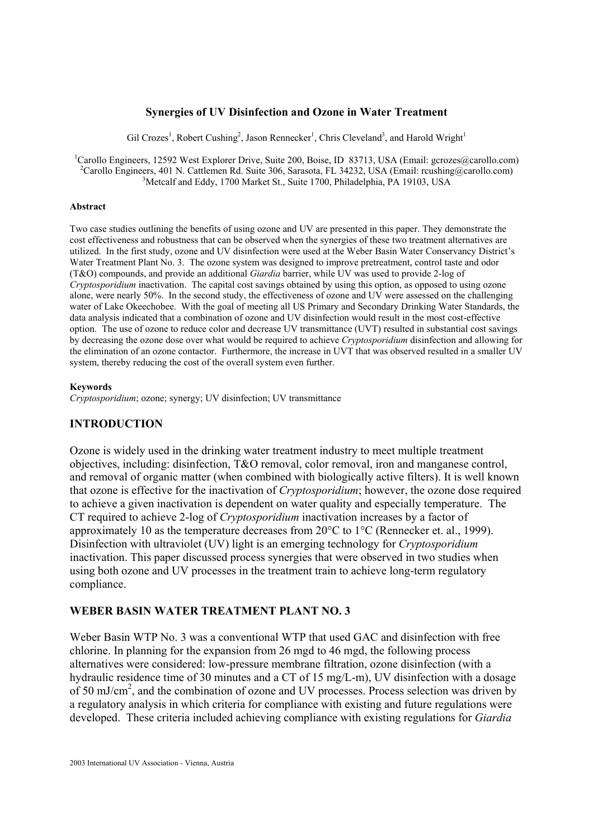### **Synergies of UV Disinfection and Ozone in Water Treatment**

Gil Crozes<sup>1</sup>, Robert Cushing<sup>2</sup>, Jason Rennecker<sup>1</sup>, Chris Cleveland<sup>3</sup>, and Harold Wright<sup>1</sup>

<sup>1</sup>Carollo Engineers, 12592 West Explorer Drive, Suite 200, Boise, ID 83713, USA (Email: gcrozes@carollo.com) <sup>2</sup>Carollo Engineers, 401 N. Cattlemen Rd. Suite 306, Sarasota, FL 34232, USA (Email: rcushing@carollo.com) <sup>3</sup>Metcalf and Eddy, 1700 Market St., Suite 1700, Philadelphia, PA 19103, USA

#### **Abstract**

Two case studies outlining the benefits of using ozone and UV are presented in this paper. They demonstrate the cost effectiveness and robustness that can be observed when the synergies of these two treatment alternatives are utilized. In the first study, ozone and UV disinfection were used at the Weber Basin Water Conservancy District's Water Treatment Plant No. 3. The ozone system was designed to improve pretreatment, control taste and odor (T&O) compounds, and provide an additional *Giardia* barrier, while UV was used to provide 2-log of *Cryptosporidium* inactivation. The capital cost savings obtained by using this option, as opposed to using ozone alone, were nearly 50%. In the second study, the effectiveness of ozone and UV were assessed on the challenging water of Lake Okeechobee. With the goal of meeting all US Primary and Secondary Drinking Water Standards, the data analysis indicated that a combination of ozone and UV disinfection would result in the most cost-effective option. The use of ozone to reduce color and decrease UV transmittance (UVT) resulted in substantial cost savings by decreasing the ozone dose over what would be required to achieve *Cryptosporidium* disinfection and allowing for the elimination of an ozone contactor. Furthermore, the increase in UVT that was observed resulted in a smaller UV system, thereby reducing the cost of the overall system even further.

#### **Keywords**

*Cryptosporidium*; ozone; synergy; UV disinfection; UV transmittance

### **INTRODUCTION**

Ozone is widely used in the drinking water treatment industry to meet multiple treatment objectives, including: disinfection, T&O removal, color removal, iron and manganese control, and removal of organic matter (when combined with biologically active filters). It is well known that ozone is effective for the inactivation of *Cryptosporidium*; however, the ozone dose required to achieve a given inactivation is dependent on water quality and especially temperature. The CT required to achieve 2-log of *Cryptosporidium* inactivation increases by a factor of approximately 10 as the temperature decreases from 20°C to 1°C (Rennecker et. al., 1999). Disinfection with ultraviolet (UV) light is an emerging technology for *Cryptosporidium* inactivation. This paper discussed process synergies that were observed in two studies when using both ozone and UV processes in the treatment train to achieve long-term regulatory compliance.

#### **WEBER BASIN WATER TREATMENT PLANT NO. 3**

Weber Basin WTP No. 3 was a conventional WTP that used GAC and disinfection with free chlorine. In planning for the expansion from 26 mgd to 46 mgd, the following process alternatives were considered: low-pressure membrane filtration, ozone disinfection (with a hydraulic residence time of 30 minutes and a CT of 15 mg/L-m), UV disinfection with a dosage of 50 mJ/cm2 , and the combination of ozone and UV processes. Process selection was driven by a regulatory analysis in which criteria for compliance with existing and future regulations were developed. These criteria included achieving compliance with existing regulations for *Giardia*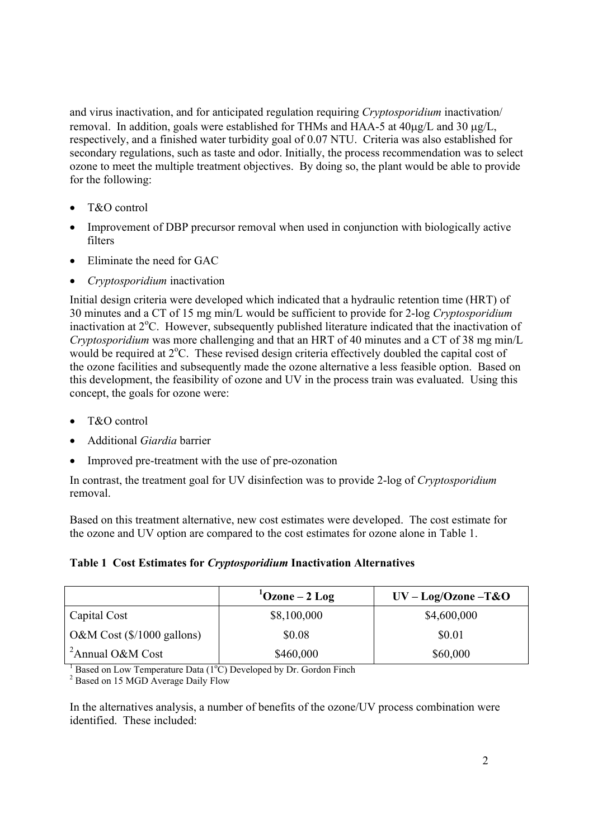and virus inactivation, and for anticipated regulation requiring *Cryptosporidium* inactivation/ removal. In addition, goals were established for THMs and HAA-5 at 40µg/L and 30 µg/L, respectively, and a finished water turbidity goal of 0.07 NTU. Criteria was also established for secondary regulations, such as taste and odor. Initially, the process recommendation was to select ozone to meet the multiple treatment objectives. By doing so, the plant would be able to provide for the following:

- T&O control
- Improvement of DBP precursor removal when used in conjunction with biologically active filters
- Eliminate the need for GAC
- *Cryptosporidium* inactivation

Initial design criteria were developed which indicated that a hydraulic retention time (HRT) of 30 minutes and a CT of 15 mg min/L would be sufficient to provide for 2-log *Cryptosporidium* inactivation at 2°C. However, subsequently published literature indicated that the inactivation of *Cryptosporidium* was more challenging and that an HRT of 40 minutes and a CT of 38 mg min/L would be required at 2°C. These revised design criteria effectively doubled the capital cost of the ozone facilities and subsequently made the ozone alternative a less feasible option. Based on this development, the feasibility of ozone and UV in the process train was evaluated. Using this concept, the goals for ozone were:

- T&O control
- Additional *Giardia* barrier
- Improved pre-treatment with the use of pre-ozonation

In contrast, the treatment goal for UV disinfection was to provide 2-log of *Cryptosporidium*  removal.

Based on this treatment alternative, new cost estimates were developed. The cost estimate for the ozone and UV option are compared to the cost estimates for ozone alone in Table 1.

## **Table 1 Cost Estimates for** *Cryptosporidium* **Inactivation Alternatives**

|                                     | $^{1}$ Ozone – 2 Log | $UV - Log/Ozone - T&O$ |
|-------------------------------------|----------------------|------------------------|
| Capital Cost                        | \$8,100,000          | \$4,600,000            |
| O&M Cost $(\frac{$}{1000}$ gallons) | \$0.08               | \$0.01                 |
| <sup>2</sup> Annual O&M Cost        | \$460,000            | \$60,000               |

<sup>2</sup> Based on 15 MGD Average Daily Flow

In the alternatives analysis, a number of benefits of the ozone/UV process combination were identified. These included: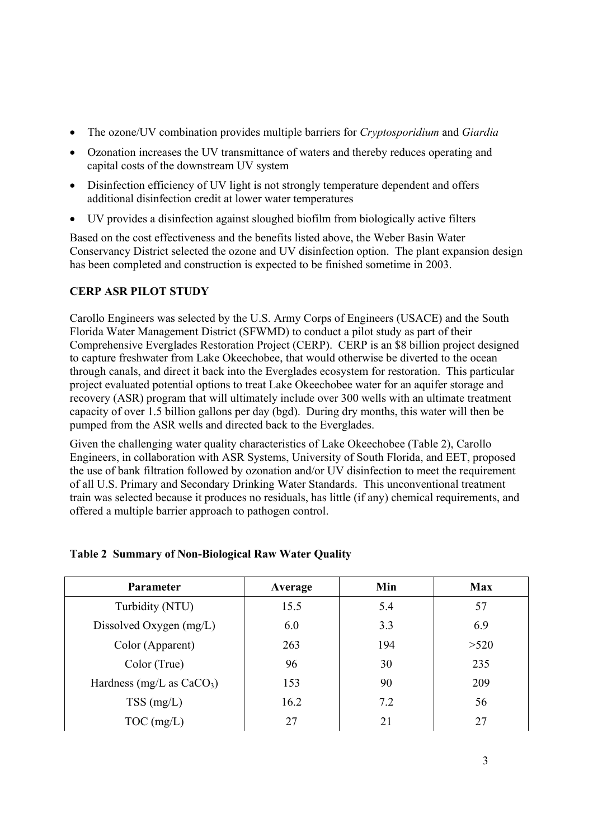- The ozone/UV combination provides multiple barriers for *Cryptosporidium* and *Giardia*
- Ozonation increases the UV transmittance of waters and thereby reduces operating and capital costs of the downstream UV system
- Disinfection efficiency of UV light is not strongly temperature dependent and offers additional disinfection credit at lower water temperatures
- UV provides a disinfection against sloughed biofilm from biologically active filters

Based on the cost effectiveness and the benefits listed above, the Weber Basin Water Conservancy District selected the ozone and UV disinfection option. The plant expansion design has been completed and construction is expected to be finished sometime in 2003.

# **CERP ASR PILOT STUDY**

Carollo Engineers was selected by the U.S. Army Corps of Engineers (USACE) and the South Florida Water Management District (SFWMD) to conduct a pilot study as part of their Comprehensive Everglades Restoration Project (CERP). CERP is an \$8 billion project designed to capture freshwater from Lake Okeechobee, that would otherwise be diverted to the ocean through canals, and direct it back into the Everglades ecosystem for restoration. This particular project evaluated potential options to treat Lake Okeechobee water for an aquifer storage and recovery (ASR) program that will ultimately include over 300 wells with an ultimate treatment capacity of over 1.5 billion gallons per day (bgd). During dry months, this water will then be pumped from the ASR wells and directed back to the Everglades.

Given the challenging water quality characteristics of Lake Okeechobee (Table 2), Carollo Engineers, in collaboration with ASR Systems, University of South Florida, and EET, proposed the use of bank filtration followed by ozonation and/or UV disinfection to meet the requirement of all U.S. Primary and Secondary Drinking Water Standards. This unconventional treatment train was selected because it produces no residuals, has little (if any) chemical requirements, and offered a multiple barrier approach to pathogen control.

| Parameter                   | Average | Min | <b>Max</b> |
|-----------------------------|---------|-----|------------|
| Turbidity (NTU)             | 15.5    | 5.4 | 57         |
| Dissolved Oxygen $(mg/L)$   | 6.0     | 3.3 | 6.9        |
| Color (Apparent)            | 263     | 194 | >520       |
| Color (True)                | 96      | 30  | 235        |
| Hardness (mg/L as $CaCO3$ ) | 153     | 90  | 209        |
| $TSS$ (mg/L)                | 16.2    | 7.2 | 56         |
| $TOC$ (mg/L)                | 27      | 21  | 27         |

## **Table 2 Summary of Non-Biological Raw Water Quality**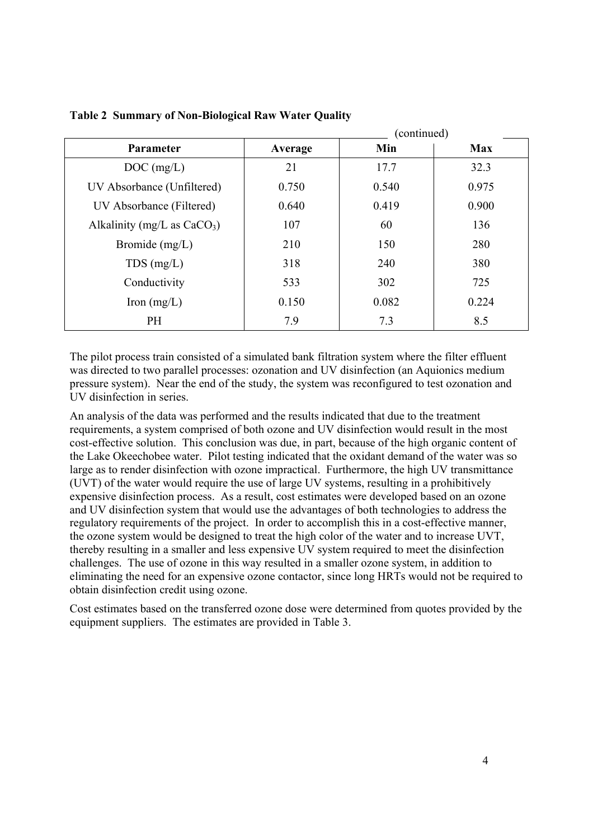|                               | $($ comunica $)$ |       |            |  |
|-------------------------------|------------------|-------|------------|--|
| Parameter                     | Average          | Min   | <b>Max</b> |  |
| $DOC$ (mg/L)                  | 21               | 17.7  | 32.3       |  |
| UV Absorbance (Unfiltered)    | 0.750            | 0.540 | 0.975      |  |
| UV Absorbance (Filtered)      | 0.640            | 0.419 | 0.900      |  |
| Alkalinity (mg/L as $CaCO3$ ) | 107              | 60    | 136        |  |
| Bromide $(mg/L)$              | 210              | 150   | 280        |  |
| $TDS$ (mg/L)                  | 318              | 240   | 380        |  |
| Conductivity                  | 533              | 302   | 725        |  |
| Iron $(mg/L)$                 | 0.150            | 0.082 | 0.224      |  |
| PH                            | 7.9              | 7.3   | 8.5        |  |

(continued)

**Table 2 Summary of Non-Biological Raw Water Quality** 

The pilot process train consisted of a simulated bank filtration system where the filter effluent was directed to two parallel processes: ozonation and UV disinfection (an Aquionics medium pressure system). Near the end of the study, the system was reconfigured to test ozonation and UV disinfection in series.

An analysis of the data was performed and the results indicated that due to the treatment requirements, a system comprised of both ozone and UV disinfection would result in the most cost-effective solution. This conclusion was due, in part, because of the high organic content of the Lake Okeechobee water. Pilot testing indicated that the oxidant demand of the water was so large as to render disinfection with ozone impractical. Furthermore, the high UV transmittance (UVT) of the water would require the use of large UV systems, resulting in a prohibitively expensive disinfection process. As a result, cost estimates were developed based on an ozone and UV disinfection system that would use the advantages of both technologies to address the regulatory requirements of the project. In order to accomplish this in a cost-effective manner, the ozone system would be designed to treat the high color of the water and to increase UVT, thereby resulting in a smaller and less expensive UV system required to meet the disinfection challenges. The use of ozone in this way resulted in a smaller ozone system, in addition to eliminating the need for an expensive ozone contactor, since long HRTs would not be required to obtain disinfection credit using ozone.

Cost estimates based on the transferred ozone dose were determined from quotes provided by the equipment suppliers. The estimates are provided in Table 3.